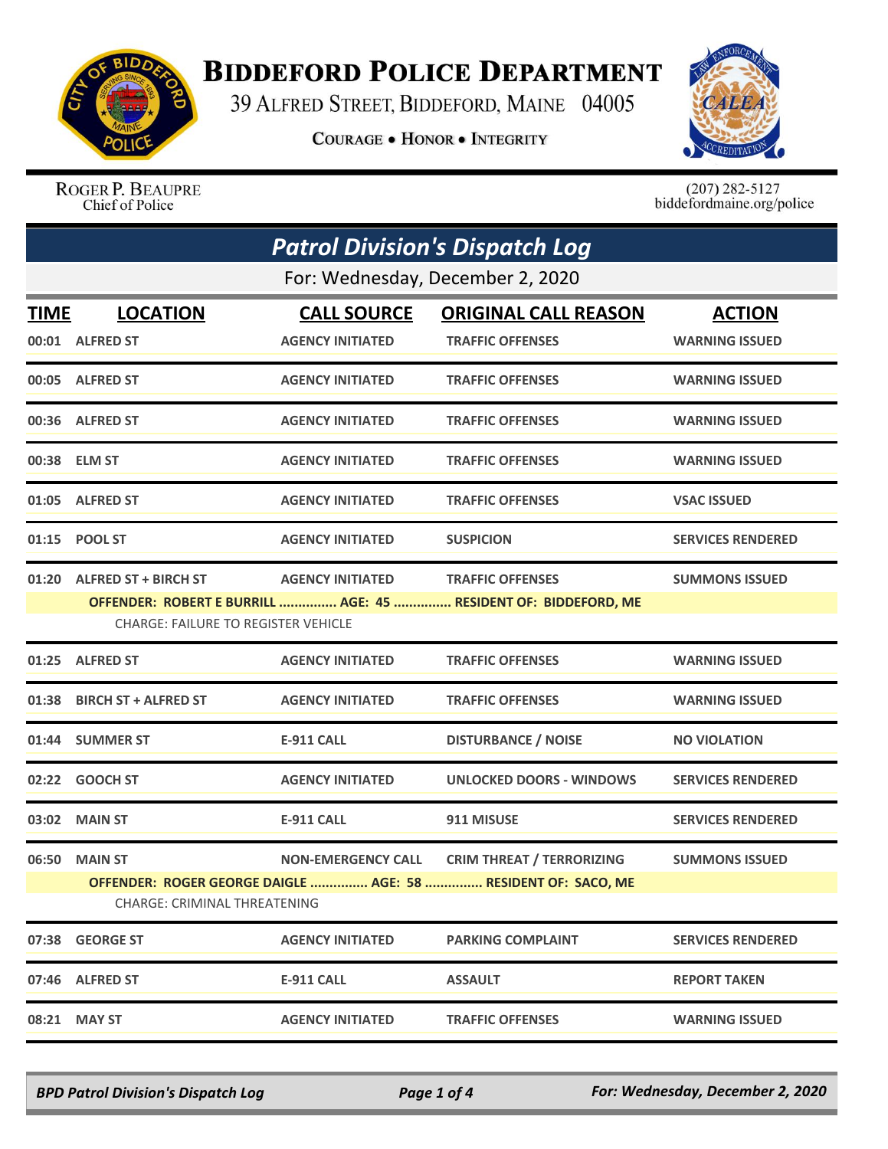

## **BIDDEFORD POLICE DEPARTMENT**

39 ALFRED STREET, BIDDEFORD, MAINE 04005

**COURAGE . HONOR . INTEGRITY** 



ROGER P. BEAUPRE Chief of Police

 $(207)$  282-5127<br>biddefordmaine.org/police

| <b>Patrol Division's Dispatch Log</b>                                                                         |                                  |                           |                                  |                          |  |  |
|---------------------------------------------------------------------------------------------------------------|----------------------------------|---------------------------|----------------------------------|--------------------------|--|--|
|                                                                                                               | For: Wednesday, December 2, 2020 |                           |                                  |                          |  |  |
| <b>TIME</b>                                                                                                   | <b>LOCATION</b>                  | <b>CALL SOURCE</b>        | <b>ORIGINAL CALL REASON</b>      | <b>ACTION</b>            |  |  |
|                                                                                                               | 00:01 ALFRED ST                  | <b>AGENCY INITIATED</b>   | <b>TRAFFIC OFFENSES</b>          | <b>WARNING ISSUED</b>    |  |  |
|                                                                                                               | 00:05 ALFRED ST                  | <b>AGENCY INITIATED</b>   | <b>TRAFFIC OFFENSES</b>          | <b>WARNING ISSUED</b>    |  |  |
|                                                                                                               | 00:36 ALFRED ST                  | <b>AGENCY INITIATED</b>   | <b>TRAFFIC OFFENSES</b>          | <b>WARNING ISSUED</b>    |  |  |
|                                                                                                               | 00:38 ELM ST                     | <b>AGENCY INITIATED</b>   | <b>TRAFFIC OFFENSES</b>          | <b>WARNING ISSUED</b>    |  |  |
|                                                                                                               | 01:05 ALFRED ST                  | <b>AGENCY INITIATED</b>   | <b>TRAFFIC OFFENSES</b>          | <b>VSAC ISSUED</b>       |  |  |
|                                                                                                               | 01:15 POOL ST                    | <b>AGENCY INITIATED</b>   | <b>SUSPICION</b>                 | <b>SERVICES RENDERED</b> |  |  |
| 01:20                                                                                                         | <b>ALFRED ST + BIRCH ST</b>      | <b>AGENCY INITIATED</b>   | <b>TRAFFIC OFFENSES</b>          | <b>SUMMONS ISSUED</b>    |  |  |
| OFFENDER: ROBERT E BURRILL  AGE: 45  RESIDENT OF: BIDDEFORD, ME<br><b>CHARGE: FAILURE TO REGISTER VEHICLE</b> |                                  |                           |                                  |                          |  |  |
|                                                                                                               | 01:25 ALFRED ST                  | <b>AGENCY INITIATED</b>   | <b>TRAFFIC OFFENSES</b>          | <b>WARNING ISSUED</b>    |  |  |
| 01:38                                                                                                         | <b>BIRCH ST + ALFRED ST</b>      | <b>AGENCY INITIATED</b>   | <b>TRAFFIC OFFENSES</b>          | <b>WARNING ISSUED</b>    |  |  |
|                                                                                                               | 01:44 SUMMER ST                  | <b>E-911 CALL</b>         | <b>DISTURBANCE / NOISE</b>       | <b>NO VIOLATION</b>      |  |  |
|                                                                                                               | 02:22 GOOCH ST                   | <b>AGENCY INITIATED</b>   | UNLOCKED DOORS - WINDOWS         | <b>SERVICES RENDERED</b> |  |  |
| 03:02                                                                                                         | <b>MAIN ST</b>                   | <b>E-911 CALL</b>         | 911 MISUSE                       | <b>SERVICES RENDERED</b> |  |  |
|                                                                                                               | 06:50 MAIN ST                    | <b>NON-EMERGENCY CALL</b> | <b>CRIM THREAT / TERRORIZING</b> | <b>SUMMONS ISSUED</b>    |  |  |
| OFFENDER: ROGER GEORGE DAIGLE  AGE: 58  RESIDENT OF: SACO, ME<br><b>CHARGE: CRIMINAL THREATENING</b>          |                                  |                           |                                  |                          |  |  |
|                                                                                                               | 07:38 GEORGE ST                  | <b>AGENCY INITIATED</b>   | <b>PARKING COMPLAINT</b>         | <b>SERVICES RENDERED</b> |  |  |
|                                                                                                               | 07:46 ALFRED ST                  | <b>E-911 CALL</b>         | <b>ASSAULT</b>                   | <b>REPORT TAKEN</b>      |  |  |
| 08:21                                                                                                         | <b>MAY ST</b>                    | <b>AGENCY INITIATED</b>   | <b>TRAFFIC OFFENSES</b>          | <b>WARNING ISSUED</b>    |  |  |

*BPD Patrol Division's Dispatch Log Page 1 of 4 For: Wednesday, December 2, 2020*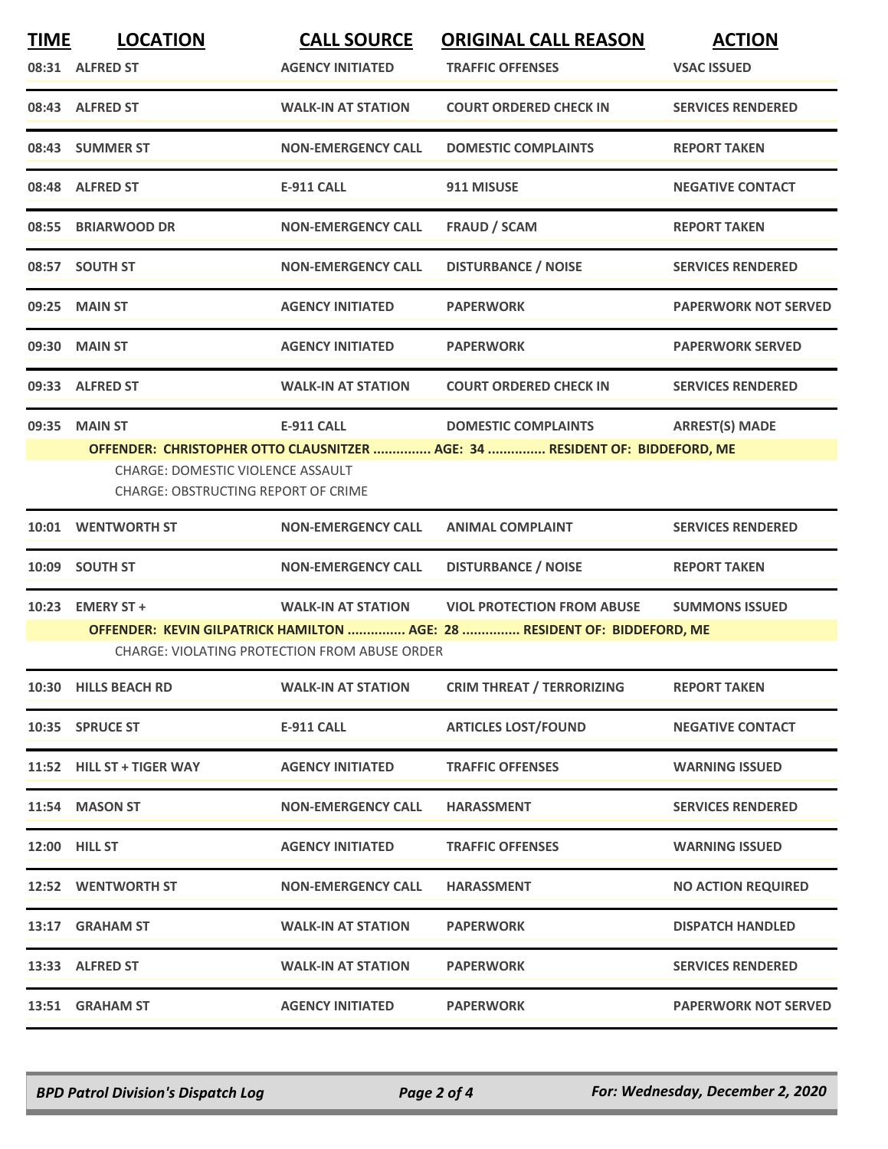| <b>TIME</b> | <b>LOCATION</b><br>08:31 ALFRED ST                                                                | <b>CALL SOURCE</b><br><b>AGENCY INITIATED</b>                                     | <b>ORIGINAL CALL REASON</b><br><b>TRAFFIC OFFENSES</b>                                                        | <b>ACTION</b><br><b>VSAC ISSUED</b> |
|-------------|---------------------------------------------------------------------------------------------------|-----------------------------------------------------------------------------------|---------------------------------------------------------------------------------------------------------------|-------------------------------------|
|             | 08:43 ALFRED ST                                                                                   | <b>WALK-IN AT STATION</b>                                                         | <b>COURT ORDERED CHECK IN</b>                                                                                 | <b>SERVICES RENDERED</b>            |
|             | 08:43 SUMMER ST                                                                                   | <b>NON-EMERGENCY CALL</b>                                                         | <b>DOMESTIC COMPLAINTS</b>                                                                                    | <b>REPORT TAKEN</b>                 |
|             | 08:48 ALFRED ST                                                                                   | <b>E-911 CALL</b>                                                                 | 911 MISUSE                                                                                                    | <b>NEGATIVE CONTACT</b>             |
|             | 08:55 BRIARWOOD DR                                                                                | <b>NON-EMERGENCY CALL</b>                                                         | <b>FRAUD / SCAM</b>                                                                                           | <b>REPORT TAKEN</b>                 |
|             | 08:57 SOUTH ST                                                                                    | <b>NON-EMERGENCY CALL</b>                                                         | <b>DISTURBANCE / NOISE</b>                                                                                    | <b>SERVICES RENDERED</b>            |
| 09:25       | <b>MAIN ST</b>                                                                                    | <b>AGENCY INITIATED</b>                                                           | <b>PAPERWORK</b>                                                                                              | <b>PAPERWORK NOT SERVED</b>         |
| 09:30       | <b>MAIN ST</b>                                                                                    | <b>AGENCY INITIATED</b>                                                           | <b>PAPERWORK</b>                                                                                              | <b>PAPERWORK SERVED</b>             |
|             | 09:33 ALFRED ST                                                                                   | <b>WALK-IN AT STATION</b>                                                         | <b>COURT ORDERED CHECK IN</b>                                                                                 | <b>SERVICES RENDERED</b>            |
| 09:35       | <b>MAIN ST</b><br><b>CHARGE: DOMESTIC VIOLENCE ASSAULT</b><br>CHARGE: OBSTRUCTING REPORT OF CRIME | <b>E-911 CALL</b>                                                                 | <b>DOMESTIC COMPLAINTS</b><br>OFFENDER: CHRISTOPHER OTTO CLAUSNITZER  AGE: 34  RESIDENT OF: BIDDEFORD, ME     | <b>ARREST(S) MADE</b>               |
|             | 10:01 WENTWORTH ST                                                                                | <b>NON-EMERGENCY CALL</b>                                                         | <b>ANIMAL COMPLAINT</b>                                                                                       | <b>SERVICES RENDERED</b>            |
| 10:09       | <b>SOUTH ST</b>                                                                                   | <b>NON-EMERGENCY CALL</b>                                                         | <b>DISTURBANCE / NOISE</b>                                                                                    | <b>REPORT TAKEN</b>                 |
| 10:23       | <b>EMERY ST +</b>                                                                                 | <b>WALK-IN AT STATION</b><br><b>CHARGE: VIOLATING PROTECTION FROM ABUSE ORDER</b> | <b>VIOL PROTECTION FROM ABUSE</b><br>OFFENDER: KEVIN GILPATRICK HAMILTON  AGE: 28  RESIDENT OF: BIDDEFORD, ME | <b>SUMMONS ISSUED</b>               |
|             | 10:30 HILLS BEACH RD                                                                              | <b>WALK-IN AT STATION</b>                                                         | <b>CRIM THREAT / TERRORIZING</b>                                                                              | <b>REPORT TAKEN</b>                 |
|             | 10:35 SPRUCE ST                                                                                   | <b>E-911 CALL</b>                                                                 | <b>ARTICLES LOST/FOUND</b>                                                                                    | <b>NEGATIVE CONTACT</b>             |
|             | 11:52 HILL ST + TIGER WAY                                                                         | <b>AGENCY INITIATED</b>                                                           | <b>TRAFFIC OFFENSES</b>                                                                                       | <b>WARNING ISSUED</b>               |
|             | 11:54 MASON ST                                                                                    | <b>NON-EMERGENCY CALL</b>                                                         | <b>HARASSMENT</b>                                                                                             | <b>SERVICES RENDERED</b>            |
|             | 12:00 HILL ST                                                                                     | <b>AGENCY INITIATED</b>                                                           | <b>TRAFFIC OFFENSES</b>                                                                                       | <b>WARNING ISSUED</b>               |
|             | 12:52 WENTWORTH ST                                                                                | <b>NON-EMERGENCY CALL</b>                                                         | <b>HARASSMENT</b>                                                                                             | <b>NO ACTION REQUIRED</b>           |
|             | 13:17 GRAHAM ST                                                                                   | <b>WALK-IN AT STATION</b>                                                         | <b>PAPERWORK</b>                                                                                              | <b>DISPATCH HANDLED</b>             |
|             | 13:33 ALFRED ST                                                                                   | <b>WALK-IN AT STATION</b>                                                         | <b>PAPERWORK</b>                                                                                              | <b>SERVICES RENDERED</b>            |
|             | 13:51 GRAHAM ST                                                                                   | <b>AGENCY INITIATED</b>                                                           | <b>PAPERWORK</b>                                                                                              | <b>PAPERWORK NOT SERVED</b>         |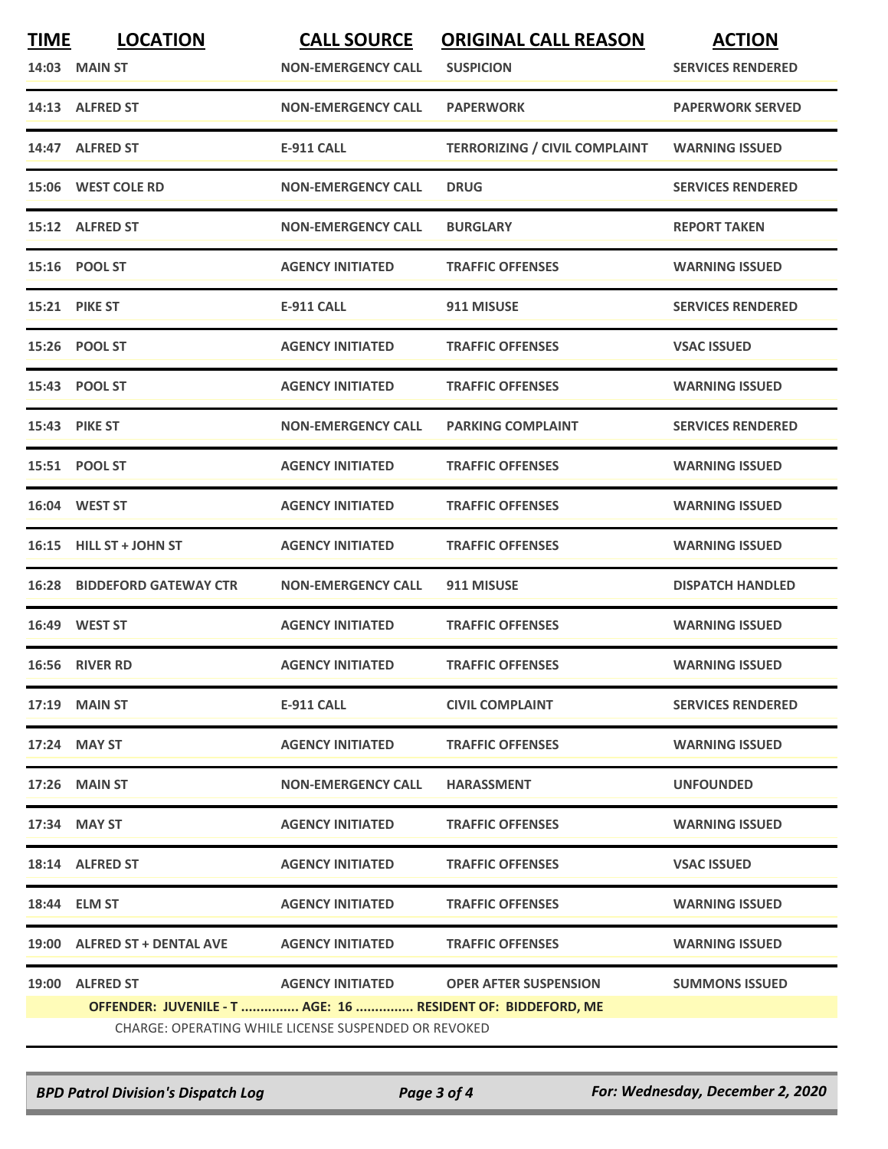| <b>TIME</b> | <b>LOCATION</b><br>14:03 MAIN ST                                               | <b>CALL SOURCE</b><br><b>NON-EMERGENCY CALL</b> | <b>ORIGINAL CALL REASON</b><br><b>SUSPICION</b> | <b>ACTION</b><br><b>SERVICES RENDERED</b> |  |
|-------------|--------------------------------------------------------------------------------|-------------------------------------------------|-------------------------------------------------|-------------------------------------------|--|
|             | 14:13 ALFRED ST                                                                | <b>NON-EMERGENCY CALL</b>                       | <b>PAPERWORK</b>                                | <b>PAPERWORK SERVED</b>                   |  |
|             | 14:47 ALFRED ST                                                                | <b>E-911 CALL</b>                               | <b>TERRORIZING / CIVIL COMPLAINT</b>            | <b>WARNING ISSUED</b>                     |  |
|             | 15:06 WEST COLE RD                                                             | <b>NON-EMERGENCY CALL</b>                       | <b>DRUG</b>                                     | <b>SERVICES RENDERED</b>                  |  |
|             | 15:12 ALFRED ST                                                                | <b>NON-EMERGENCY CALL</b>                       | <b>BURGLARY</b>                                 | <b>REPORT TAKEN</b>                       |  |
|             | 15:16 POOL ST                                                                  | <b>AGENCY INITIATED</b>                         | <b>TRAFFIC OFFENSES</b>                         | <b>WARNING ISSUED</b>                     |  |
| 15:21       | <b>PIKE ST</b>                                                                 | <b>E-911 CALL</b>                               | 911 MISUSE                                      | <b>SERVICES RENDERED</b>                  |  |
|             | 15:26 POOL ST                                                                  | <b>AGENCY INITIATED</b>                         | <b>TRAFFIC OFFENSES</b>                         | <b>VSAC ISSUED</b>                        |  |
|             | 15:43 POOL ST                                                                  | <b>AGENCY INITIATED</b>                         | <b>TRAFFIC OFFENSES</b>                         | <b>WARNING ISSUED</b>                     |  |
|             | 15:43 PIKE ST                                                                  | <b>NON-EMERGENCY CALL</b>                       | <b>PARKING COMPLAINT</b>                        | <b>SERVICES RENDERED</b>                  |  |
|             | 15:51 POOL ST                                                                  | <b>AGENCY INITIATED</b>                         | <b>TRAFFIC OFFENSES</b>                         | <b>WARNING ISSUED</b>                     |  |
|             | 16:04 WEST ST                                                                  | <b>AGENCY INITIATED</b>                         | <b>TRAFFIC OFFENSES</b>                         | <b>WARNING ISSUED</b>                     |  |
| 16:15       | <b>HILL ST + JOHN ST</b>                                                       | <b>AGENCY INITIATED</b>                         | <b>TRAFFIC OFFENSES</b>                         | <b>WARNING ISSUED</b>                     |  |
| 16:28       | <b>BIDDEFORD GATEWAY CTR</b>                                                   | <b>NON-EMERGENCY CALL</b>                       | 911 MISUSE                                      | <b>DISPATCH HANDLED</b>                   |  |
|             | 16:49 WEST ST                                                                  | <b>AGENCY INITIATED</b>                         | <b>TRAFFIC OFFENSES</b>                         | <b>WARNING ISSUED</b>                     |  |
|             | 16:56 RIVER RD                                                                 | <b>AGENCY INITIATED</b>                         | <b>TRAFFIC OFFENSES</b>                         | <b>WARNING ISSUED</b>                     |  |
|             | 17:19 MAIN ST                                                                  | E-911 CALL                                      | <b>CIVIL COMPLAINT</b>                          | <b>SERVICES RENDERED</b>                  |  |
|             | 17:24 MAY ST                                                                   | <b>AGENCY INITIATED</b>                         | <b>TRAFFIC OFFENSES</b>                         | <b>WARNING ISSUED</b>                     |  |
|             | 17:26 MAIN ST                                                                  | <b>NON-EMERGENCY CALL</b>                       | <b>HARASSMENT</b>                               | <b>UNFOUNDED</b>                          |  |
|             | 17:34 MAY ST                                                                   | <b>AGENCY INITIATED</b>                         | <b>TRAFFIC OFFENSES</b>                         | <b>WARNING ISSUED</b>                     |  |
|             | 18:14 ALFRED ST                                                                | <b>AGENCY INITIATED</b>                         | <b>TRAFFIC OFFENSES</b>                         | <b>VSAC ISSUED</b>                        |  |
|             | 18:44 ELM ST                                                                   | <b>AGENCY INITIATED</b>                         | <b>TRAFFIC OFFENSES</b>                         | <b>WARNING ISSUED</b>                     |  |
|             | 19:00 ALFRED ST + DENTAL AVE                                                   | <b>AGENCY INITIATED</b>                         | <b>TRAFFIC OFFENSES</b>                         | <b>WARNING ISSUED</b>                     |  |
|             | 19:00 ALFRED ST<br>OFFENDER: JUVENILE - T  AGE: 16  RESIDENT OF: BIDDEFORD, ME |                                                 | AGENCY INITIATED OPER AFTER SUSPENSION          | <b>SUMMONS ISSUED</b>                     |  |
|             | CHARGE: OPERATING WHILE LICENSE SUSPENDED OR REVOKED                           |                                                 |                                                 |                                           |  |

*BPD Patrol Division's Dispatch Log Page 3 of 4 For: Wednesday, December 2, 2020*